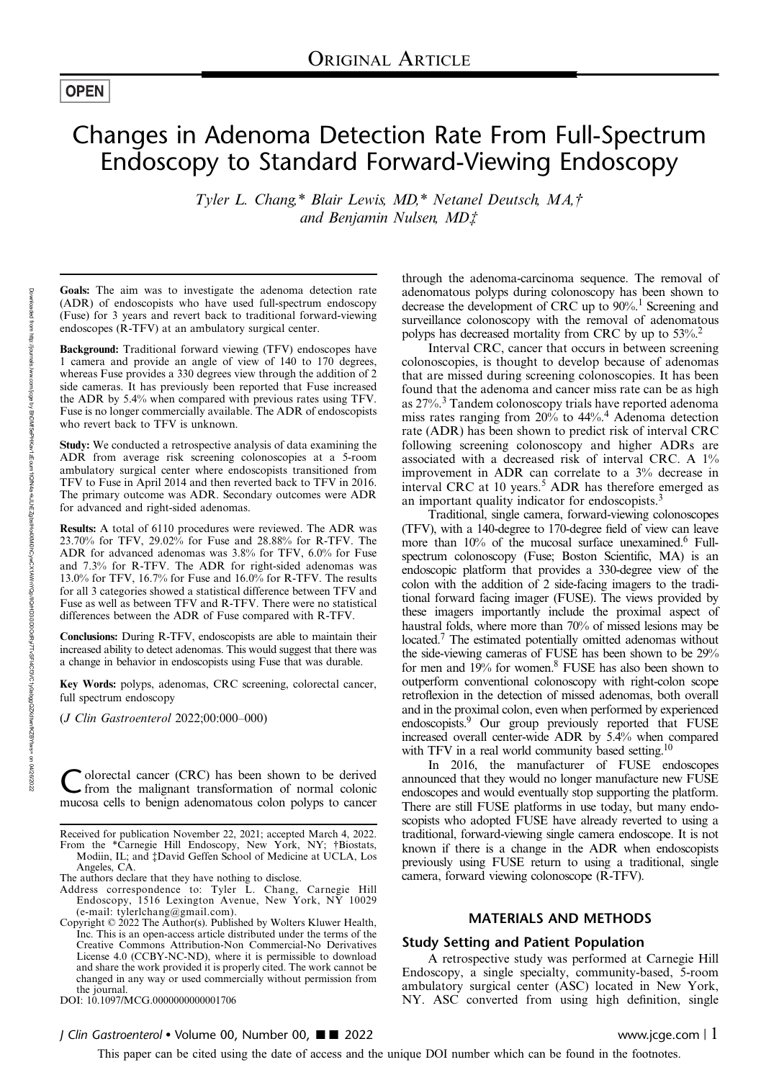# **OPEN**

# Changes in Adenoma Detection Rate From Full-Spectrum Endoscopy to Standard Forward-Viewing Endoscopy

Tyler L. Chang,\* Blair Lewis, MD,\* Netanel Deutsch, MA,† and Benjamin Nulsen, MD‡

Goals: The aim was to investigate the adenoma detection rate (ADR) of endoscopists who have used full-spectrum endoscopy (Fuse) for 3 years and revert back to traditional forward-viewing endoscopes (R-TFV) at an ambulatory surgical center.

Background: Traditional forward viewing (TFV) endoscopes have 1 camera and provide an angle of view of 140 to 170 degrees, whereas Fuse provides a 330 degrees view through the addition of 2 side cameras. It has previously been reported that Fuse increased the ADR by 5.4% when compared with previous rates using TFV. Fuse is no longer commercially available. The ADR of endoscopists who revert back to TFV is unknown.

Study: We conducted a retrospective analysis of data examining the ADR from average risk screening colonoscopies at a 5-room ambulatory surgical center where endoscopists transitioned from TFV to Fuse in April 2014 and then reverted back to TFV in 2016. The primary outcome was ADR. Secondary outcomes were ADR for advanced and right-sided adenomas.

Results: A total of 6110 procedures were reviewed. The ADR was 23.70% for TFV, 29.02% for Fuse and 28.88% for R-TFV. The ADR for advanced adenomas was 3.8% for TFV, 6.0% for Fuse and 7.3% for R-TFV. The ADR for right-sided adenomas was 13.0% for TFV, 16.7% for Fuse and 16.0% for R-TFV. The results for all 3 categories showed a statistical difference between TFV and Fuse as well as between TFV and R-TFV. There were no statistical differences between the ADR of Fuse compared with R-TFV.

Conclusions: During R-TFV, endoscopists are able to maintain their increased ability to detect adenomas. This would suggest that there was a change in behavior in endoscopists using Fuse that was durable.

Key Words: polyps, adenomas, CRC screening, colorectal cancer, full spectrum endoscopy

(J Clin Gastroenterol 2022;00:000–000)

olorectal cancer (CRC) has been shown to be derived from the malignant transformation of normal colonic mucosa cells to benign adenomatous colon polyps to cancer

Received for publication November 22, 2021; accepted March 4, 2022. From the \*Carnegie Hill Endoscopy, New York, NY; †Biostats,

Modiin, IL; and ‡David Geffen School of Medicine at UCLA, Los Angeles, CA.

The authors declare that they have nothing to disclose. Address correspondence to: Tyler L. Chang, Carnegie Hill Endoscopy, 1516 Lexington Avenue, New York, NY 10029 (e-mail: [tylerlchang@gmail.com](mailto:tylerlchang@gmail.com)). Copyright © 2022 The Author(s). Published by Wolters Kluwer Health,

Inc. This is an open-access article distributed under the terms of the [Creative Commons Attribution-Non Commercial-No Derivatives](http://creativecommons.org/licenses/by-nc-nd/4.0/) [License 4.0](http://creativecommons.org/licenses/by-nc-nd/4.0/) (CCBY-NC-ND), where it is permissible to download and share the work provided it is properly cited. The work cannot be changed in any way or used commercially without permission from the journal.

DOI: 10.1097/MCG.0000000000001706

J Clin Gastroenterol • Volume 00, Number 00, ■■ 2022 www.jcge.com | 1

through the adenoma-carcinoma sequence. The removal of adenomatous polyps during colonoscopy has been shown to decrease the development of CRC up to  $90\%$ .<sup>1</sup> Screening and surveillance colonoscopy with the removal of adenomatous polyps has decreased mortality from CRC by up to 53%.2

Interval CRC, cancer that occurs in between screening colonoscopies, is thought to develop because of adenomas that are missed during screening colonoscopies. It has been found that the adenoma and cancer miss rate can be as high as 27%.<sup>3</sup> Tandem colonoscopy trials have reported adenoma miss rates ranging from 20% to 44%.<sup>4</sup> Adenoma detection rate (ADR) has been shown to predict risk of interval CRC following screening colonoscopy and higher ADRs are associated with a decreased risk of interval CRC. A 1% improvement in ADR can correlate to a 3% decrease in interval CRC at 10 years.<sup>5</sup> ADR has therefore emerged as an important quality indicator for endoscopists.<sup>3</sup>

Traditional, single camera, forward-viewing colonoscopes (TFV), with a 140-degree to 170-degree field of view can leave more than  $10\%$  of the mucosal surface unexamined.<sup>6</sup> Fullspectrum colonoscopy (Fuse; Boston Scientific, MA) is an endoscopic platform that provides a 330-degree view of the colon with the addition of 2 side-facing imagers to the traditional forward facing imager (FUSE). The views provided by these imagers importantly include the proximal aspect of haustral folds, where more than 70% of missed lesions may be located.7 The estimated potentially omitted adenomas without the side-viewing cameras of FUSE has been shown to be 29% for men and 19% for women.8 FUSE has also been shown to outperform conventional colonoscopy with right-colon scope retroflexion in the detection of missed adenomas, both overall and in the proximal colon, even when performed by experienced endoscopists.<sup>9</sup> Our group previously reported that FUSE increased overall center-wide ADR by 5.4% when compared with TFV in a real world community based setting.<sup>10</sup>

In 2016, the manufacturer of FUSE endoscopes announced that they would no longer manufacture new FUSE endoscopes and would eventually stop supporting the platform. There are still FUSE platforms in use today, but many endoscopists who adopted FUSE have already reverted to using a traditional, forward-viewing single camera endoscope. It is not known if there is a change in the ADR when endoscopists previously using FUSE return to using a traditional, single camera, forward viewing colonoscope (R-TFV).

# MATERIALS AND METHODS

#### Study Setting and Patient Population

A retrospective study was performed at Carnegie Hill Endoscopy, a single specialty, community-based, 5-room ambulatory surgical center (ASC) located in New York, NY. ASC converted from using high definition, single

This paper can be cited using the date of access and the unique DOI number which can be found in the footnotes.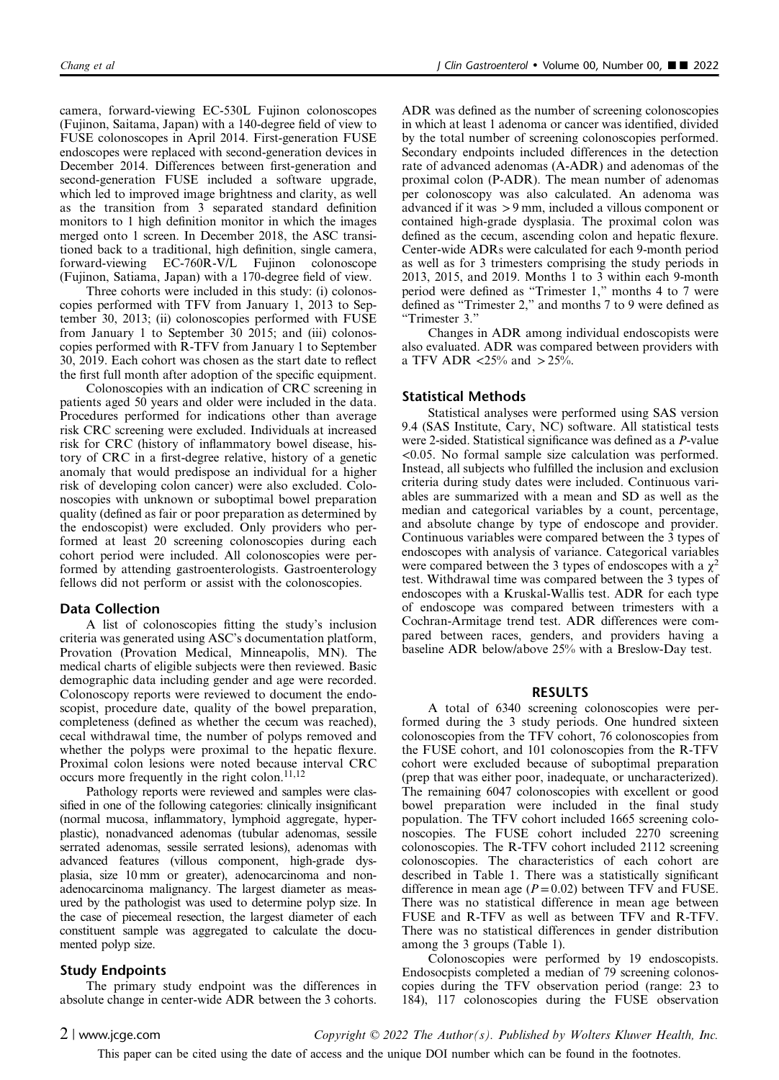camera, forward-viewing EC-530L Fujinon colonoscopes (Fujinon, Saitama, Japan) with a 140-degree field of view to FUSE colonoscopes in April 2014. First-generation FUSE endoscopes were replaced with second-generation devices in December 2014. Differences between first-generation and second-generation FUSE included a software upgrade, which led to improved image brightness and clarity, as well as the transition from 3 separated standard definition monitors to 1 high definition monitor in which the images merged onto 1 screen. In December 2018, the ASC transitioned back to a traditional, high definition, single camera, forward-viewing EC-760R-V/L Fujinon colonoscope (Fujinon, Satiama, Japan) with a 170-degree field of view.

Three cohorts were included in this study: (i) colonoscopies performed with TFV from January 1, 2013 to September 30, 2013; (ii) colonoscopies performed with FUSE from January 1 to September 30 2015; and (iii) colonoscopies performed with R-TFV from January 1 to September 30, 2019. Each cohort was chosen as the start date to reflect the first full month after adoption of the specific equipment.

Colonoscopies with an indication of CRC screening in patients aged 50 years and older were included in the data. Procedures performed for indications other than average risk CRC screening were excluded. Individuals at increased risk for CRC (history of inflammatory bowel disease, history of CRC in a first-degree relative, history of a genetic anomaly that would predispose an individual for a higher risk of developing colon cancer) were also excluded. Colonoscopies with unknown or suboptimal bowel preparation quality (defined as fair or poor preparation as determined by the endoscopist) were excluded. Only providers who performed at least 20 screening colonoscopies during each cohort period were included. All colonoscopies were performed by attending gastroenterologists. Gastroenterology fellows did not perform or assist with the colonoscopies.

#### Data Collection

A list of colonoscopies fitting the study's inclusion criteria was generated using ASC's documentation platform, Provation (Provation Medical, Minneapolis, MN). The medical charts of eligible subjects were then reviewed. Basic demographic data including gender and age were recorded. Colonoscopy reports were reviewed to document the endoscopist, procedure date, quality of the bowel preparation, completeness (defined as whether the cecum was reached), cecal withdrawal time, the number of polyps removed and whether the polyps were proximal to the hepatic flexure. Proximal colon lesions were noted because interval CRC occurs more frequently in the right colon. $11,12$ 

Pathology reports were reviewed and samples were classified in one of the following categories: clinically insignificant (normal mucosa, inflammatory, lymphoid aggregate, hyperplastic), nonadvanced adenomas (tubular adenomas, sessile serrated adenomas, sessile serrated lesions), adenomas with advanced features (villous component, high-grade dysplasia, size 10 mm or greater), adenocarcinoma and nonadenocarcinoma malignancy. The largest diameter as measured by the pathologist was used to determine polyp size. In the case of piecemeal resection, the largest diameter of each constituent sample was aggregated to calculate the documented polyp size.

#### Study Endpoints

The primary study endpoint was the differences in absolute change in center-wide ADR between the 3 cohorts.

ADR was defined as the number of screening colonoscopies in which at least 1 adenoma or cancer was identified, divided by the total number of screening colonoscopies performed. Secondary endpoints included differences in the detection rate of advanced adenomas (A-ADR) and adenomas of the proximal colon (P-ADR). The mean number of adenomas per colonoscopy was also calculated. An adenoma was advanced if it was >9 mm, included a villous component or contained high-grade dysplasia. The proximal colon was defined as the cecum, ascending colon and hepatic flexure. Center-wide ADRs were calculated for each 9-month period as well as for 3 trimesters comprising the study periods in 2013, 2015, and 2019. Months 1 to 3 within each 9-month period were defined as "Trimester 1," months 4 to 7 were defined as "Trimester 2," and months 7 to 9 were defined as "Trimester 3."

Changes in ADR among individual endoscopists were also evaluated. ADR was compared between providers with a TFV ADR <25% and  $>$  25%.

### Statistical Methods

Statistical analyses were performed using SAS version 9.4 (SAS Institute, Cary, NC) software. All statistical tests were 2-sided. Statistical significance was defined as a P-value <0.05. No formal sample size calculation was performed. Instead, all subjects who fulfilled the inclusion and exclusion criteria during study dates were included. Continuous variables are summarized with a mean and SD as well as the median and categorical variables by a count, percentage, and absolute change by type of endoscope and provider. Continuous variables were compared between the 3 types of endoscopes with analysis of variance. Categorical variables were compared between the 3 types of endoscopes with a  $\chi^2$ test. Withdrawal time was compared between the 3 types of endoscopes with a Kruskal-Wallis test. ADR for each type of endoscope was compared between trimesters with a Cochran-Armitage trend test. ADR differences were compared between races, genders, and providers having a baseline ADR below/above 25% with a Breslow-Day test.

#### RESULTS

A total of 6340 screening colonoscopies were performed during the 3 study periods. One hundred sixteen colonoscopies from the TFV cohort, 76 colonoscopies from the FUSE cohort, and 101 colonoscopies from the R-TFV cohort were excluded because of suboptimal preparation (prep that was either poor, inadequate, or uncharacterized). The remaining 6047 colonoscopies with excellent or good bowel preparation were included in the final study population. The TFV cohort included 1665 screening colonoscopies. The FUSE cohort included 2270 screening colonoscopies. The R-TFV cohort included 2112 screening colonoscopies. The characteristics of each cohort are described in Table 1. There was a statistically significant difference in mean age  $(P=0.02)$  between TFV and FUSE. There was no statistical difference in mean age between FUSE and R-TFV as well as between TFV and R-TFV. There was no statistical differences in gender distribution among the 3 groups (Table 1).

Colonoscopies were performed by 19 endoscopists. Endosocpists completed a median of 79 screening colonoscopies during the TFV observation period (range: 23 to 184), 117 colonoscopies during the FUSE observation

2 | www.jcge.com  $Copyright \odot 2022$  The Author(s). Published by Wolters Kluwer Health, Inc.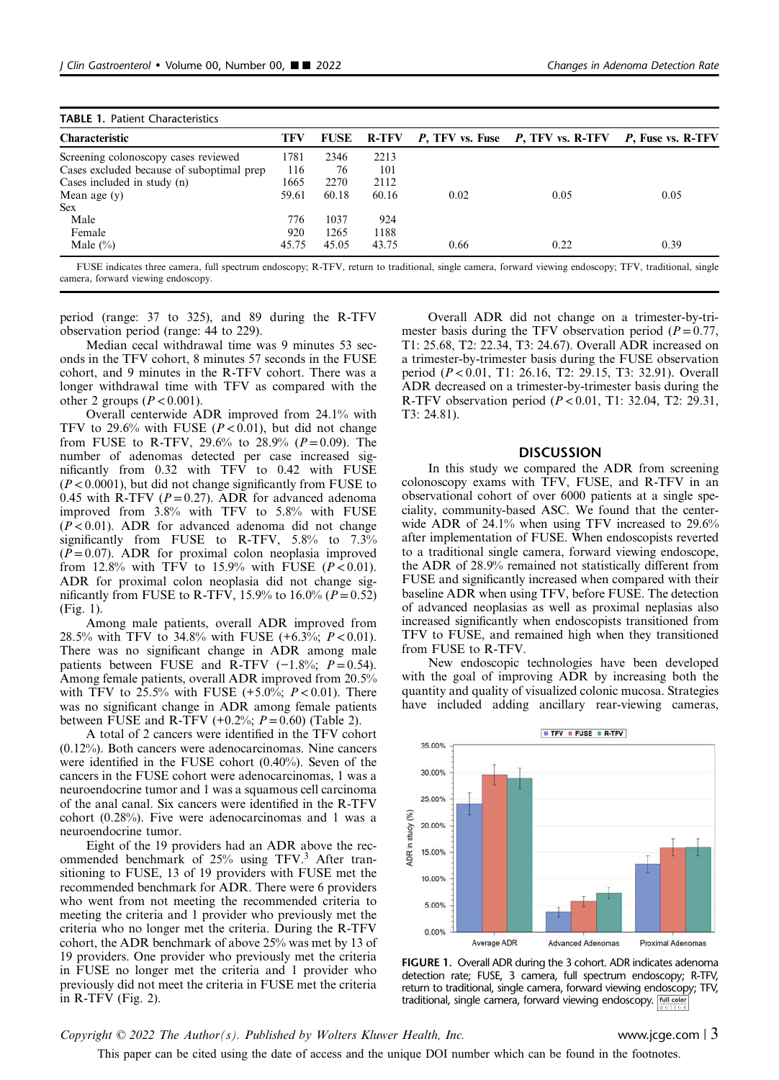| <b>TABLE 1. Patient Characteristics</b>   |       |             |       |      |                                                    |      |
|-------------------------------------------|-------|-------------|-------|------|----------------------------------------------------|------|
| <b>Characteristic</b>                     | TFV   | <b>FUSE</b> | R-TFV |      | P, TFV vs. Fuse P, TFV vs. R-TFV P, Fuse vs. R-TFV |      |
| Screening colonoscopy cases reviewed      | 1781  | 2346        | 2213  |      |                                                    |      |
| Cases excluded because of suboptimal prep | 116   | 76          | 101   |      |                                                    |      |
| Cases included in study (n)               | 1665  | 2270        | 2112  |      |                                                    |      |
| Mean age $(y)$                            | 59.61 | 60.18       | 60.16 | 0.02 | 0.05                                               | 0.05 |
| Sex.                                      |       |             |       |      |                                                    |      |
| Male                                      | 776   | 1037        | 924   |      |                                                    |      |
| Female                                    | 920   | 1265        | 1188  |      |                                                    |      |
| Male $(\% )$                              | 45.75 | 45.05       | 43.75 | 0.66 | 0.22                                               | 0.39 |

FUSE indicates three camera, full spectrum endoscopy; R-TFV, return to traditional, single camera, forward viewing endoscopy; TFV, traditional, single camera, forward viewing endoscopy.

period (range: 37 to 325), and 89 during the R-TFV observation period (range: 44 to 229).

Median cecal withdrawal time was 9 minutes 53 seconds in the TFV cohort, 8 minutes 57 seconds in the FUSE cohort, and 9 minutes in the R-TFV cohort. There was a longer withdrawal time with TFV as compared with the other 2 groups  $(P < 0.001)$ .

Overall centerwide ADR improved from 24.1% with TFV to 29.6% with FUSE ( $P < 0.01$ ), but did not change from FUSE to R-TFV, 29.6% to 28.9% ( $P = 0.09$ ). The number of adenomas detected per case increased significantly from 0.32 with TFV to 0.42 with FUSE  $(P<0.0001)$ , but did not change significantly from FUSE to 0.45 with R-TFV  $(P=0.27)$ . ADR for advanced adenoma improved from 3.8% with TFV to 5.8% with FUSE  $(P<0.01)$ . ADR for advanced adenoma did not change significantly from FUSE to R-TFV, 5.8% to 7.3%  $(P= 0.07)$ . ADR for proximal colon neoplasia improved from 12.8% with TFV to 15.9% with FUSE  $(P<0.01)$ . ADR for proximal colon neoplasia did not change significantly from FUSE to R-TFV, 15.9% to 16.0% ( $P = 0.52$ ) (Fig. 1).

Among male patients, overall ADR improved from 28.5% with TFV to 34.8% with FUSE  $(+6.3\%; P < 0.01)$ . There was no significant change in ADR among male patients between FUSE and R-TFV  $(-1.8\%; P=0.54)$ . Among female patients, overall ADR improved from 20.5% with TFV to 25.5% with FUSE  $(+5.0\%; P < 0.01)$ . There was no significant change in ADR among female patients between FUSE and R-TFV  $(+0.2\%; P=0.60)$  (Table 2).

A total of 2 cancers were identified in the TFV cohort (0.12%). Both cancers were adenocarcinomas. Nine cancers were identified in the FUSE cohort (0.40%). Seven of the cancers in the FUSE cohort were adenocarcinomas, 1 was a neuroendocrine tumor and 1 was a squamous cell carcinoma of the anal canal. Six cancers were identified in the R-TFV cohort (0.28%). Five were adenocarcinomas and 1 was a neuroendocrine tumor.

Eight of the 19 providers had an ADR above the recommended benchmark of 25% using TFV.<sup>3</sup> After transitioning to FUSE, 13 of 19 providers with FUSE met the recommended benchmark for ADR. There were 6 providers who went from not meeting the recommended criteria to meeting the criteria and 1 provider who previously met the criteria who no longer met the criteria. During the R-TFV cohort, the ADR benchmark of above 25% was met by 13 of 19 providers. One provider who previously met the criteria in FUSE no longer met the criteria and 1 provider who previously did not meet the criteria in FUSE met the criteria in R-TFV (Fig. 2).

Overall ADR did not change on a trimester-by-trimester basis during the TFV observation period ( $P=0.77$ , T1: 25.68, T2: 22.34, T3: 24.67). Overall ADR increased on a trimester-by-trimester basis during the FUSE observation period (P<0.01, T1: 26.16, T2: 29.15, T3: 32.91). Overall ADR decreased on a trimester-by-trimester basis during the R-TFV observation period (P<0.01, T1: 32.04, T2: 29.31, T3: 24.81).

#### **DISCUSSION**

In this study we compared the ADR from screening colonoscopy exams with TFV, FUSE, and R-TFV in an observational cohort of over 6000 patients at a single speciality, community-based ASC. We found that the centerwide ADR of 24.1% when using TFV increased to 29.6% after implementation of FUSE. When endoscopists reverted to a traditional single camera, forward viewing endoscope, the ADR of 28.9% remained not statistically different from FUSE and significantly increased when compared with their baseline ADR when using TFV, before FUSE. The detection of advanced neoplasias as well as proximal neplasias also increased significantly when endoscopists transitioned from TFV to FUSE, and remained high when they transitioned from FUSE to R-TFV.

New endoscopic technologies have been developed with the goal of improving ADR by increasing both the quantity and quality of visualized colonic mucosa. Strategies have included adding ancillary rear-viewing cameras,



FIGURE 1. Overall ADR during the 3 cohort. ADR indicates adenoma detection rate; FUSE, 3 camera, full spectrum endoscopy; R-TFV, return to traditional, single camera, forward viewing endoscopy; TFV, traditional, single camera, forward viewing endoscopy.

## Copyright  $\odot$  2022 The Author(s). Published by Wolters Kluwer Health, Inc. www.jcge.com | 3

This paper can be cited using the date of access and the unique DOI number which can be found in the footnotes.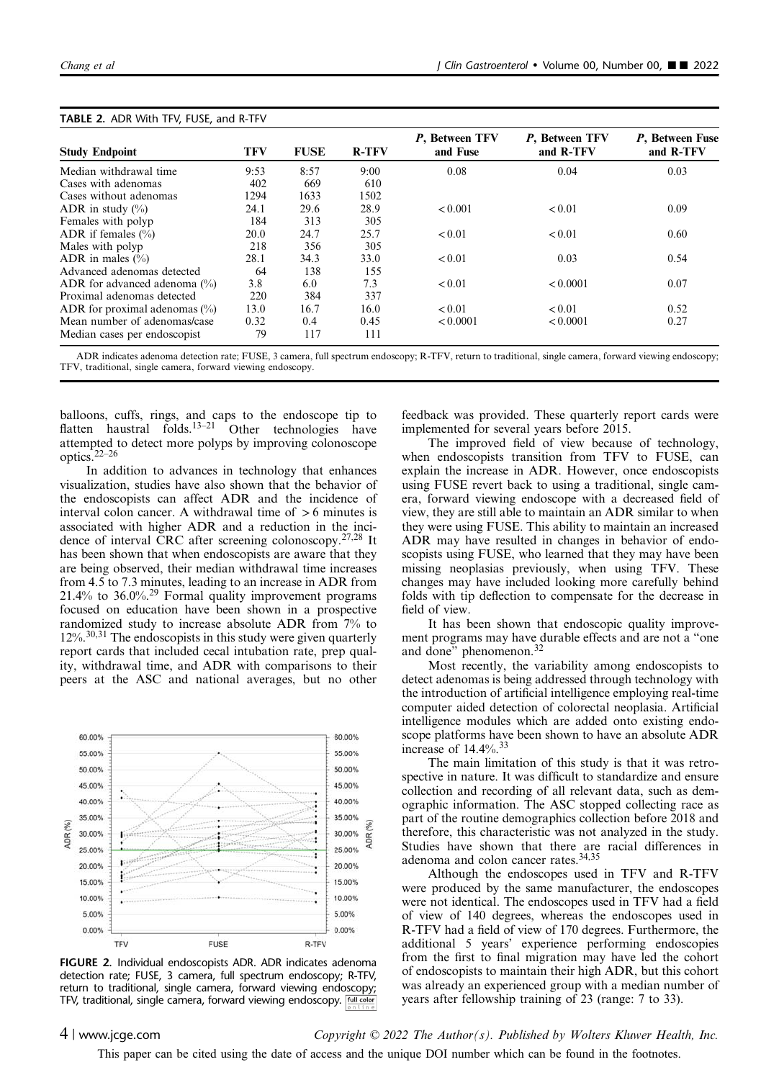|                                  |            |             |              | P, Between TFV | P, Between TFV | P, Between Fuse |
|----------------------------------|------------|-------------|--------------|----------------|----------------|-----------------|
| <b>Study Endpoint</b>            | <b>TFV</b> | <b>FUSE</b> | <b>R-TFV</b> | and Fuse       | and R-TFV      | and R-TFV       |
| Median withdrawal time           | 9:53       | 8:57        | 9:00         | 0.08           | 0.04           | 0.03            |
| Cases with adenomas              | 402        | 669         | 610          |                |                |                 |
| Cases without adenomas           | 1294       | 1633        | 1502         |                |                |                 |
| ADR in study $(\% )$             | 24.1       | 29.6        | 28.9         | < 0.001        | < 0.01         | 0.09            |
| Females with polyp               | 184        | 313         | 305          |                |                |                 |
| ADR if females $(\% )$           | 20.0       | 24.7        | 25.7         | < 0.01         | < 0.01         | 0.60            |
| Males with polyp                 | 218        | 356         | 305          |                |                |                 |
| ADR in males $(\% )$             | 28.1       | 34.3        | 33.0         | < 0.01         | 0.03           | 0.54            |
| Advanced adenomas detected       | 64         | 138         | 155          |                |                |                 |
| ADR for advanced adenoma $(\%)$  | 3.8        | 6.0         | 7.3          | < 0.01         | < 0.0001       | 0.07            |
| Proximal adenomas detected       | 220        | 384         | 337          |                |                |                 |
| ADR for proximal adenomas $(\%)$ | 13.0       | 16.7        | 16.0         | < 0.01         | < 0.01         | 0.52            |
| Mean number of adenomas/case     | 0.32       | 0.4         | 0.45         | < 0.0001       | < 0.0001       | 0.27            |
| Median cases per endoscopist     | 79         | 117         | 111          |                |                |                 |

#### TABLE 2. ADR With TEV, FUSE, and R TEV

ADR indicates adenoma detection rate; FUSE, 3 camera, full spectrum endoscopy; R-TFV, return to traditional, single camera, forward viewing endoscopy; TFV, traditional, single camera, forward viewing endoscopy.

balloons, cuffs, rings, and caps to the endoscope tip to flatten haustral folds.<sup>13–21</sup> Other technologies have attempted to detect more polyps by improving colonoscope optics.22–<sup>26</sup>

In addition to advances in technology that enhances visualization, studies have also shown that the behavior of the endoscopists can affect ADR and the incidence of interval colon cancer. A withdrawal time of  $>6$  minutes is associated with higher ADR and a reduction in the incidence of interval CRC after screening colonoscopy.27,28 It has been shown that when endoscopists are aware that they are being observed, their median withdrawal time increases from 4.5 to 7.3 minutes, leading to an increase in ADR from 21.4% to 36.0%.<sup>29</sup> Formal quality improvement programs focused on education have been shown in a prospective randomized study to increase absolute ADR from 7% to  $12\%$ <sup>30,31</sup> The endoscopists in this study were given quarterly report cards that included cecal intubation rate, prep quality, withdrawal time, and ADR with comparisons to their peers at the ASC and national averages, but no other



FIGURE 2. Individual endoscopists ADR. ADR indicates adenoma detection rate; FUSE, 3 camera, full spectrum endoscopy; R-TFV, return to traditional, single camera, forward viewing endoscopy; TFV, traditional, single camera, forward viewing endoscopy. **Full colon** 

feedback was provided. These quarterly report cards were implemented for several years before 2015.

The improved field of view because of technology, when endoscopists transition from TFV to FUSE, can explain the increase in ADR. However, once endoscopists using FUSE revert back to using a traditional, single camera, forward viewing endoscope with a decreased field of view, they are still able to maintain an ADR similar to when they were using FUSE. This ability to maintain an increased ADR may have resulted in changes in behavior of endoscopists using FUSE, who learned that they may have been missing neoplasias previously, when using TFV. These changes may have included looking more carefully behind folds with tip deflection to compensate for the decrease in field of view.

It has been shown that endoscopic quality improvement programs may have durable effects and are not a "one and done" phenomenon.<sup>32</sup>

Most recently, the variability among endoscopists to detect adenomas is being addressed through technology with the introduction of artificial intelligence employing real-time computer aided detection of colorectal neoplasia. Artificial intelligence modules which are added onto existing endoscope platforms have been shown to have an absolute ADR increase of  $14.4\%$ .<sup>33</sup>

The main limitation of this study is that it was retrospective in nature. It was difficult to standardize and ensure collection and recording of all relevant data, such as demographic information. The ASC stopped collecting race as part of the routine demographics collection before 2018 and therefore, this characteristic was not analyzed in the study. Studies have shown that there are racial differences in adenoma and colon cancer rates.<sup>34,35</sup>

Although the endoscopes used in TFV and R-TFV were produced by the same manufacturer, the endoscopes were not identical. The endoscopes used in TFV had a field of view of 140 degrees, whereas the endoscopes used in R-TFV had a field of view of 170 degrees. Furthermore, the additional 5 years' experience performing endoscopies from the first to final migration may have led the cohort of endoscopists to maintain their high ADR, but this cohort was already an experienced group with a median number of years after fellowship training of 23 (range: 7 to 33).

4 | www.jcge.com  $Copyright \odot 2022$  The Author(s). Published by Wolters Kluwer Health, Inc.

This paper can be cited using the date of access and the unique DOI number which can be found in the footnotes.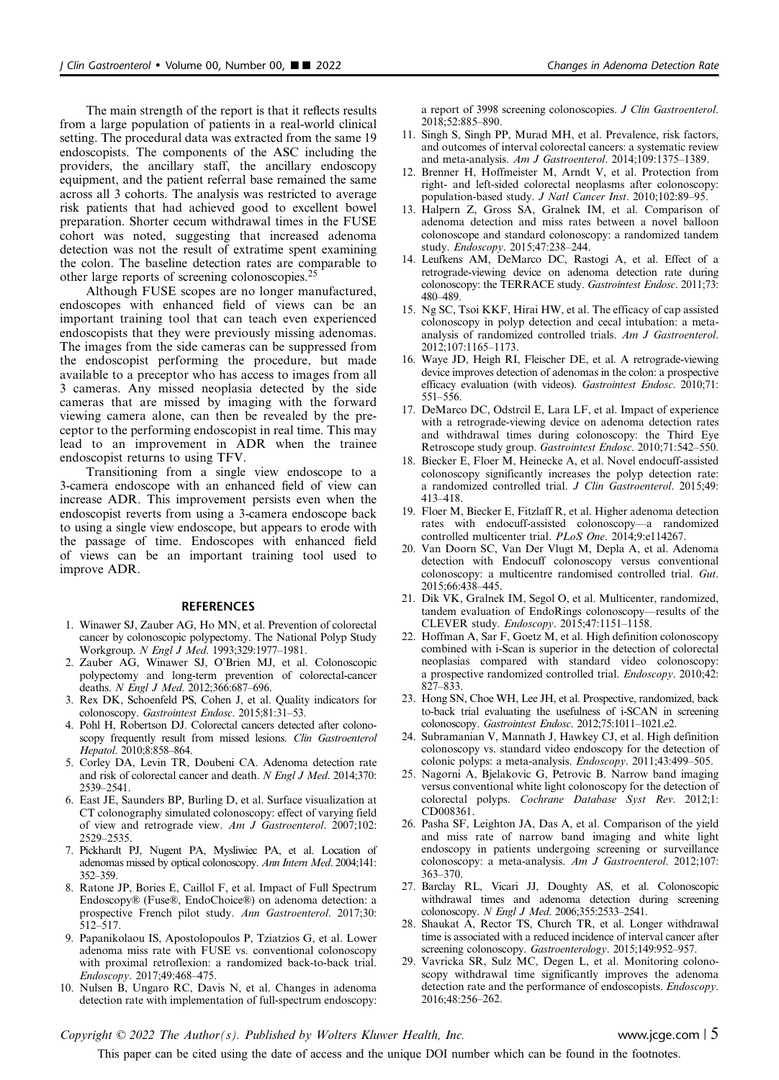The main strength of the report is that it reflects results from a large population of patients in a real-world clinical setting. The procedural data was extracted from the same 19 endoscopists. The components of the ASC including the providers, the ancillary staff, the ancillary endoscopy equipment, and the patient referral base remained the same across all 3 cohorts. The analysis was restricted to average risk patients that had achieved good to excellent bowel preparation. Shorter cecum withdrawal times in the FUSE cohort was noted, suggesting that increased adenoma detection was not the result of extratime spent examining the colon. The baseline detection rates are comparable to other large reports of screening colonoscopies.<sup>25</sup>

Although FUSE scopes are no longer manufactured, endoscopes with enhanced field of views can be an important training tool that can teach even experienced endoscopists that they were previously missing adenomas. The images from the side cameras can be suppressed from the endoscopist performing the procedure, but made available to a preceptor who has access to images from all 3 cameras. Any missed neoplasia detected by the side cameras that are missed by imaging with the forward viewing camera alone, can then be revealed by the preceptor to the performing endoscopist in real time. This may lead to an improvement in ADR when the trainee endoscopist returns to using TFV.

Transitioning from a single view endoscope to a 3-camera endoscope with an enhanced field of view can increase ADR. This improvement persists even when the endoscopist reverts from using a 3-camera endoscope back to using a single view endoscope, but appears to erode with the passage of time. Endoscopes with enhanced field of views can be an important training tool used to improve ADR.

#### **REFERENCES**

- 1. Winawer SJ, Zauber AG, Ho MN, et al. Prevention of colorectal cancer by colonoscopic polypectomy. The National Polyp Study Workgroup. N Engl J Med. 1993;329:1977–1981.
- 2. Zauber AG, Winawer SJ, O'Brien MJ, et al. Colonoscopic polypectomy and long-term prevention of colorectal-cancer deaths. N Engl J Med. 2012;366:687-696.
- 3. Rex DK, Schoenfeld PS, Cohen J, et al. Quality indicators for colonoscopy. Gastrointest Endosc. 2015;81:31–53.
- 4. Pohl H, Robertson DJ. Colorectal cancers detected after colonoscopy frequently result from missed lesions. Clin Gastroenterol Hepatol. 2010;8:858–864.
- 5. Corley DA, Levin TR, Doubeni CA. Adenoma detection rate and risk of colorectal cancer and death. N Engl J Med. 2014;370: 2539–2541.
- 6. East JE, Saunders BP, Burling D, et al. Surface visualization at CT colonography simulated colonoscopy: effect of varying field of view and retrograde view. Am J Gastroenterol. 2007;102: 2529–2535.
- 7. Pickhardt PJ, Nugent PA, Mysliwiec PA, et al. Location of adenomas missed by optical colonoscopy. Ann Intern Med. 2004;141: 352–359.
- 8. Ratone JP, Bories E, Caillol F, et al. Impact of Full Spectrum Endoscopy® (Fuse®, EndoChoice®) on adenoma detection: a prospective French pilot study. Ann Gastroenterol. 2017;30: 512–517.
- 9. Papanikolaou IS, Apostolopoulos P, Tziatzios G, et al. Lower adenoma miss rate with FUSE vs. conventional colonoscopy with proximal retroflexion: a randomized back-to-back trial. Endoscopy. 2017;49:468–475.
- 10. Nulsen B, Ungaro RC, Davis N, et al. Changes in adenoma detection rate with implementation of full-spectrum endoscopy:

a report of 3998 screening colonoscopies. J Clin Gastroenterol. 2018;52:885–890.

- 11. Singh S, Singh PP, Murad MH, et al. Prevalence, risk factors, and outcomes of interval colorectal cancers: a systematic review and meta-analysis. Am J Gastroenterol. 2014;109:1375–1389.
- 12. Brenner H, Hoffmeister M, Arndt V, et al. Protection from right- and left-sided colorectal neoplasms after colonoscopy: population-based study. J Natl Cancer Inst. 2010;102:89–95.
- 13. Halpern Z, Gross SA, Gralnek IM, et al. Comparison of adenoma detection and miss rates between a novel balloon colonoscope and standard colonoscopy: a randomized tandem study. Endoscopy. 2015;47:238–244.
- 14. Leufkens AM, DeMarco DC, Rastogi A, et al. Effect of a retrograde-viewing device on adenoma detection rate during colonoscopy: the TERRACE study. Gastrointest Endosc. 2011;73: 480–489.
- 15. Ng SC, Tsoi KKF, Hirai HW, et al. The efficacy of cap assisted colonoscopy in polyp detection and cecal intubation: a metaanalysis of randomized controlled trials. Am J Gastroenterol. 2012;107:1165–1173.
- 16. Waye JD, Heigh RI, Fleischer DE, et al. A retrograde-viewing device improves detection of adenomas in the colon: a prospective efficacy evaluation (with videos). Gastrointest Endosc. 2010;71: 551–556.
- 17. DeMarco DC, Odstrcil E, Lara LF, et al. Impact of experience with a retrograde-viewing device on adenoma detection rates and withdrawal times during colonoscopy: the Third Eye Retroscope study group. Gastrointest Endosc. 2010;71:542–550.
- 18. Biecker E, Floer M, Heinecke A, et al. Novel endocuff-assisted colonoscopy significantly increases the polyp detection rate: a randomized controlled trial. J Clin Gastroenterol. 2015;49: 413–418.
- 19. Floer M, Biecker E, Fitzlaff R, et al. Higher adenoma detection rates with endocuff-assisted colonoscopy—a randomized controlled multicenter trial. PLoS One. 2014;9:e114267.
- 20. Van Doorn SC, Van Der Vlugt M, Depla A, et al. Adenoma detection with Endocuff colonoscopy versus conventional colonoscopy: a multicentre randomised controlled trial. Gut. 2015;66:438–445.
- 21. Dik VK, Gralnek IM, Segol O, et al. Multicenter, randomized, tandem evaluation of EndoRings colonoscopy—results of the CLEVER study. Endoscopy. 2015;47:1151–1158.
- 22. Hoffman A, Sar F, Goetz M, et al. High definition colonoscopy combined with i-Scan is superior in the detection of colorectal neoplasias compared with standard video colonoscopy: a prospective randomized controlled trial. Endoscopy. 2010;42: 827–833.
- 23. Hong SN, Choe WH, Lee JH, et al. Prospective, randomized, back to-back trial evaluating the usefulness of i-SCAN in screening colonoscopy. Gastrointest Endosc. 2012;75:1011–1021.e2.
- 24. Subramanian V, Mannath J, Hawkey CJ, et al. High definition colonoscopy vs. standard video endoscopy for the detection of colonic polyps: a meta-analysis. Endoscopy. 2011;43:499–505.
- 25. Nagorni A, Bjelakovic G, Petrovic B. Narrow band imaging versus conventional white light colonoscopy for the detection of colorectal polyps. Cochrane Database Syst Rev. 2012;1: CD008361.
- 26. Pasha SF, Leighton JA, Das A, et al. Comparison of the yield and miss rate of narrow band imaging and white light endoscopy in patients undergoing screening or surveillance colonoscopy: a meta-analysis. Am J Gastroenterol. 2012;107: 363–370.
- 27. Barclay RL, Vicari JJ, Doughty AS, et al. Colonoscopic withdrawal times and adenoma detection during screening colonoscopy. N Engl J Med. 2006;355:2533–2541.
- 28. Shaukat A, Rector TS, Church TR, et al. Longer withdrawal time is associated with a reduced incidence of interval cancer after screening colonoscopy. Gastroenterology. 2015;149:952-957.
- 29. Vavricka SR, Sulz MC, Degen L, et al. Monitoring colonoscopy withdrawal time significantly improves the adenoma detection rate and the performance of endoscopists. Endoscopy. 2016;48:256–262.

Copyright  $\odot$  2022 The Author(s). Published by Wolters Kluwer Health, Inc. www.jcge.com | 5